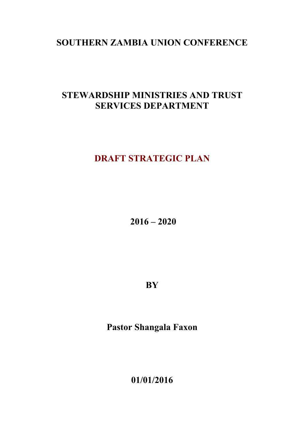# **SOUTHERN ZAMBIA UNION CONFERENCE**

# **STEWARDSHIP MINISTRIES AND TRUST SERVICES DEPARTMENT**

# **DRAFT STRATEGIC PLAN**

**2016 – 2020**

**BY** 

**Pastor Shangala Faxon**

**01/01/2016**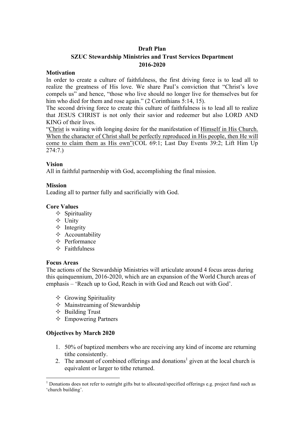#### **Draft Plan**

# **SZUC Stewardship Ministries and Trust Services Department 2016-2020**

#### **Motivation**

In order to create a culture of faithfulness, the first driving force is to lead all to realize the greatness of His love. We share Paul's conviction that "Christ's love compels us" and hence, "those who live should no longer live for themselves but for him who died for them and rose again." (2 Corinthians 5:14, 15).

The second driving force to create this culture of faithfulness is to lead all to realize that JESUS CHRIST is not only their savior and redeemer but also LORD AND KING of their lives.

"Christ is waiting with longing desire for the manifestation of Himself in His Church. When the character of Christ shall be perfectly reproduced in His people, then He will come to claim them as His own"(COL 69:1; Last Day Events 39:2; Lift Him Up 274:7.)

#### **Vision**

All in faithful partnership with God, accomplishing the final mission.

#### **Mission**

Leading all to partner fully and sacrificially with God.

#### **Core Values**

- $\Diamond$  Spirituality
- $\triangle$  Unity
- $\Diamond$  Integrity
- $\Diamond$  Accountability
- $\Diamond$  Performance
- $\triangle$  Faithfulness

#### **Focus Areas**

The actions of the Stewardship Ministries will articulate around 4 focus areas during this quinquennium, 2016-2020, which are an expansion of the World Church areas of emphasis – 'Reach up to God, Reach in with God and Reach out with God'.

- $\Diamond$  Growing Spirituality
- $\Diamond$  Mainstreaming of Stewardship
- $\Diamond$  Building Trust
- $\Diamond$  Empowering Partners

## **Objectives by March 2020**

- 1. 50% of baptized members who are receiving any kind of income are returning tithe consistently.
- 2. The amount of combined offerings and donations<sup>1</sup> given at the local church is equivalent or larger to tithe returned.

<sup>&</sup>lt;sup>1</sup> Donations does not refer to outright gifts but to allocated/specified offerings e.g. project fund such as 'church building'.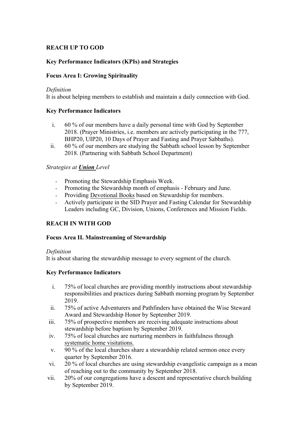## **REACH UP TO GOD**

## **Key Performance Indicators (KPIs) and Strategies**

## **Focus Area I: Growing Spirituality**

#### *Definition*

It is about helping members to establish and maintain a daily connection with God.

## **Key Performance Indicators**

- i. 60 % of our members have a daily personal time with God by September 2018. (Prayer Ministries, i.e. members are actively participating in the 777, BHP20, UIP20, 10 Days of Prayer and Fasting and Prayer Sabbaths).
- ii. 60 % of our members are studying the Sabbath school lesson by September 2018. (Partnering with Sabbath School Department)

## *Strategies at Union Level*

- Promoting the Stewardship Emphasis Week.
- Promoting the Stewardship month of emphasis February and June.
- Providing Devotional Books based on Stewardship for members.
- Actively participate in the SID Prayer and Fasting Calendar for Stewardship Leaders including GC, Division, Unions, Conferences and Mission Fields.

# **REACH IN WITH GOD**

## **Focus Area II. Mainstreaming of Stewardship**

## *Definition*

It is about sharing the stewardship message to every segment of the church.

## **Key Performance Indicators**

- i. 75% of local churches are providing monthly instructions about stewardship responsibilities and practices during Sabbath morning program by September 2019.
- ii. 75% of active Adventurers and Pathfinders have obtained the Wise Steward Award and Stewardship Honor by September 2019.
- iii. 75% of prospective members are receiving adequate instructions about stewardship before baptism by September 2019.
- iv. 75% of local churches are nurturing members in faithfulness through systematic home visitations.
- v. 90 % of the local churches share a stewardship related sermon once every quarter by September 2016.
- vi. 20 % of local churches are using stewardship evangelistic campaign as a mean of reaching out to the community by September 2018.
- vii. 20% of our congregations have a descent and representative church building by September 2019.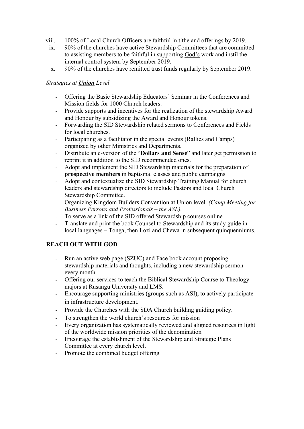- viii. 100% of Local Church Officers are faithful in tithe and offerings by 2019.
	- ix. 90% of the churches have active Stewardship Committees that are committed to assisting members to be faithful in supporting God's work and instil the internal control system by September 2019.
	- x. 90% of the churches have remitted trust funds regularly by September 2019.

# *Strategies at Union Level*

- Offering the Basic Stewardship Educators' Seminar in the Conferences and Mission fields for 1000 Church leaders.
- Provide supports and incentives for the realization of the stewardship Award and Honour by subsidizing the Award and Honour tokens.
- Forwarding the SID Stewardship related sermons to Conferences and Fields for local churches.
- Participating as a facilitator in the special events (Rallies and Camps) organized by other Ministries and Departments.
- Distribute an e-version of the "**Dollars and Sense**" and later get permission to reprint it in addition to the SID recommended ones.
- Adopt and implement the SID Stewardship materials for the preparation of **prospective members** in baptismal classes and public campaigns
- Adopt and contextualize the SID Stewardship Training Manual for church leaders and stewardship directors to include Pastors and local Church Stewardship Committee.
- Organizing Kingdom Builders Convention at Union level. *(Camp Meeting for Business Persons and Professionals – the ASI.).*
- To serve as a link of the SID offered Stewardship courses online
- Translate and print the book Counsel to Stewardship and its study guide in local languages – Tonga, then Lozi and Chewa in subsequent quinquenniums.

# **REACH OUT WITH GOD**

- Run an active web page (SZUC) and Face book account proposing stewardship materials and thoughts, including a new stewardship sermon every month.
- Offering our services to teach the Biblical Stewardship Course to Theology majors at Rusangu University and LMS.
- Encourage supporting ministries (groups such as ASI), to actively participate in infrastructure development.
- Provide the Churches with the SDA Church building guiding policy.
- To strengthen the world church's resources for mission
- Every organization has systematically reviewed and aligned resources in light of the worldwide mission priorities of the denomination
- Encourage the establishment of the Stewardship and Strategic Plans Committee at every church level.
- Promote the combined budget offering